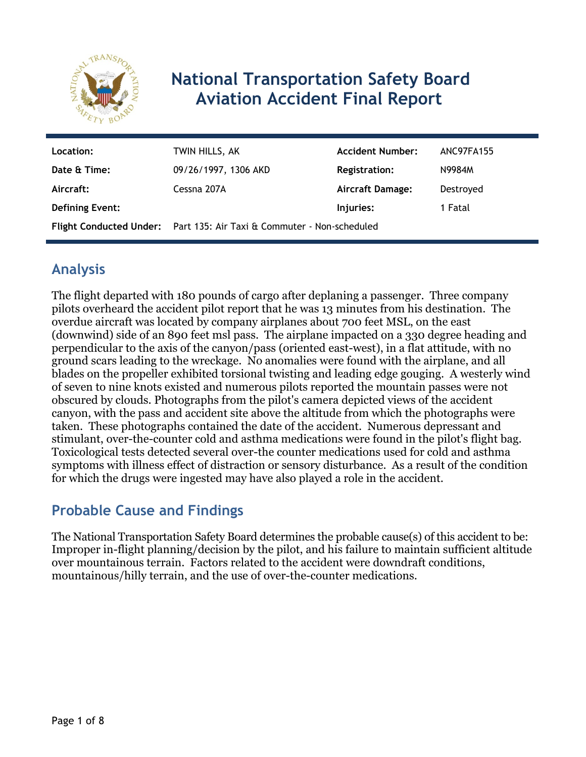

# **National Transportation Safety Board Aviation Accident Final Report**

| Location:              | TWIN HILLS, AK                                                        | <b>Accident Number:</b> | ANC97FA155 |
|------------------------|-----------------------------------------------------------------------|-------------------------|------------|
| Date & Time:           | 09/26/1997, 1306 AKD                                                  | <b>Registration:</b>    | N9984M     |
| Aircraft:              | Cessna 207A                                                           | Aircraft Damage:        | Destroyed  |
| <b>Defining Event:</b> |                                                                       | Injuries:               | 1 Fatal    |
|                        | Flight Conducted Under: Part 135: Air Taxi & Commuter - Non-scheduled |                         |            |

# **Analysis**

The flight departed with 180 pounds of cargo after deplaning a passenger. Three company pilots overheard the accident pilot report that he was 13 minutes from his destination. The overdue aircraft was located by company airplanes about 700 feet MSL, on the east (downwind) side of an 890 feet msl pass. The airplane impacted on a 330 degree heading and perpendicular to the axis of the canyon/pass (oriented east-west), in a flat attitude, with no ground scars leading to the wreckage. No anomalies were found with the airplane, and all blades on the propeller exhibited torsional twisting and leading edge gouging. A westerly wind of seven to nine knots existed and numerous pilots reported the mountain passes were not obscured by clouds. Photographs from the pilot's camera depicted views of the accident canyon, with the pass and accident site above the altitude from which the photographs were taken. These photographs contained the date of the accident. Numerous depressant and stimulant, over-the-counter cold and asthma medications were found in the pilot's flight bag. Toxicological tests detected several over-the counter medications used for cold and asthma symptoms with illness effect of distraction or sensory disturbance. As a result of the condition for which the drugs were ingested may have also played a role in the accident.

### **Probable Cause and Findings**

The National Transportation Safety Board determines the probable cause(s) of this accident to be: Improper in-flight planning/decision by the pilot, and his failure to maintain sufficient altitude over mountainous terrain. Factors related to the accident were downdraft conditions, mountainous/hilly terrain, and the use of over-the-counter medications.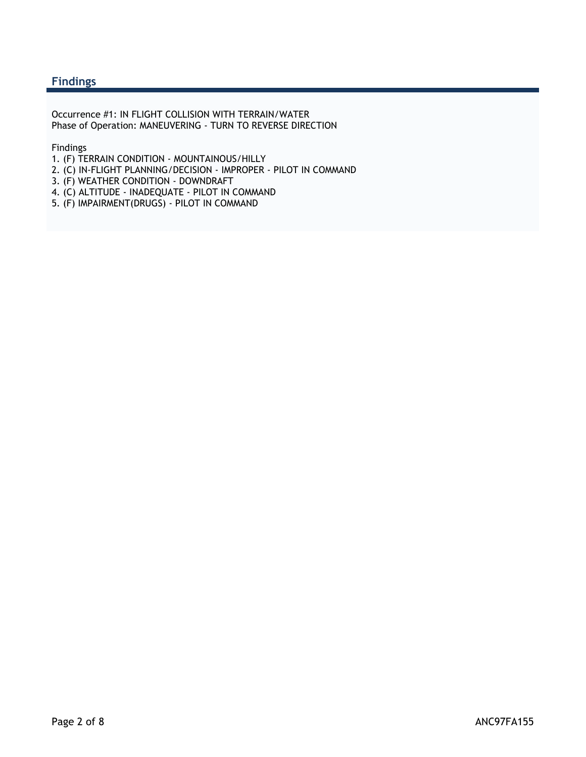#### **Findings**

Occurrence #1: IN FLIGHT COLLISION WITH TERRAIN/WATER Phase of Operation: MANEUVERING - TURN TO REVERSE DIRECTION

Findings

- 1. (F) TERRAIN CONDITION MOUNTAINOUS/HILLY
- 2. (C) IN-FLIGHT PLANNING/DECISION IMPROPER PILOT IN COMMAND
- 3. (F) WEATHER CONDITION DOWNDRAFT
- 4. (C) ALTITUDE INADEQUATE PILOT IN COMMAND
- 5. (F) IMPAIRMENT(DRUGS) PILOT IN COMMAND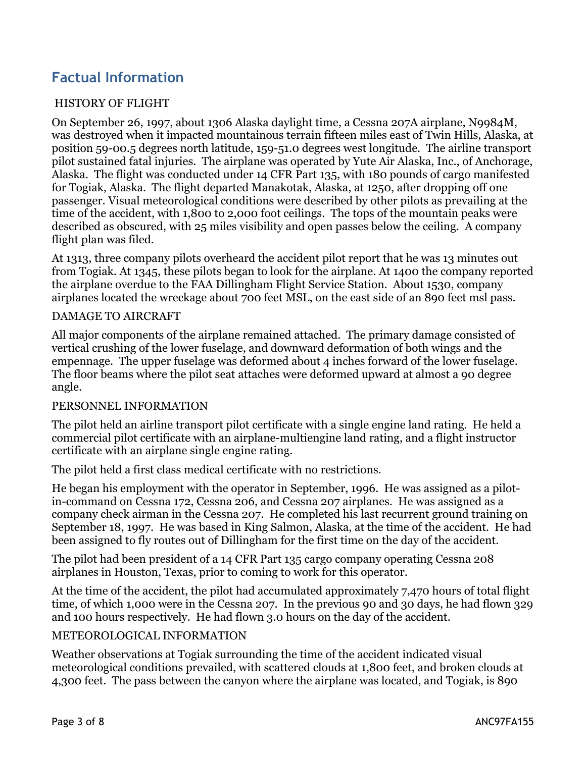# **Factual Information**

#### HISTORY OF FLIGHT

On September 26, 1997, about 1306 Alaska daylight time, a Cessna 207A airplane, N9984M, was destroyed when it impacted mountainous terrain fifteen miles east of Twin Hills, Alaska, at position 59-00.5 degrees north latitude, 159-51.0 degrees west longitude. The airline transport pilot sustained fatal injuries. The airplane was operated by Yute Air Alaska, Inc., of Anchorage, Alaska. The flight was conducted under 14 CFR Part 135, with 180 pounds of cargo manifested for Togiak, Alaska. The flight departed Manakotak, Alaska, at 1250, after dropping off one passenger. Visual meteorological conditions were described by other pilots as prevailing at the time of the accident, with 1,800 to 2,000 foot ceilings. The tops of the mountain peaks were described as obscured, with 25 miles visibility and open passes below the ceiling. A company flight plan was filed.

At 1313, three company pilots overheard the accident pilot report that he was 13 minutes out from Togiak. At 1345, these pilots began to look for the airplane. At 1400 the company reported the airplane overdue to the FAA Dillingham Flight Service Station. About 1530, company airplanes located the wreckage about 700 feet MSL, on the east side of an 890 feet msl pass.

#### DAMAGE TO AIRCRAFT

All major components of the airplane remained attached. The primary damage consisted of vertical crushing of the lower fuselage, and downward deformation of both wings and the empennage. The upper fuselage was deformed about 4 inches forward of the lower fuselage. The floor beams where the pilot seat attaches were deformed upward at almost a 90 degree angle.

#### PERSONNEL INFORMATION

The pilot held an airline transport pilot certificate with a single engine land rating. He held a commercial pilot certificate with an airplane-multiengine land rating, and a flight instructor certificate with an airplane single engine rating.

The pilot held a first class medical certificate with no restrictions.

He began his employment with the operator in September, 1996. He was assigned as a pilotin-command on Cessna 172, Cessna 206, and Cessna 207 airplanes. He was assigned as a company check airman in the Cessna 207. He completed his last recurrent ground training on September 18, 1997. He was based in King Salmon, Alaska, at the time of the accident. He had been assigned to fly routes out of Dillingham for the first time on the day of the accident.

The pilot had been president of a 14 CFR Part 135 cargo company operating Cessna 208 airplanes in Houston, Texas, prior to coming to work for this operator.

At the time of the accident, the pilot had accumulated approximately 7,470 hours of total flight time, of which 1,000 were in the Cessna 207. In the previous 90 and 30 days, he had flown 329 and 100 hours respectively. He had flown 3.0 hours on the day of the accident.

#### METEOROLOGICAL INFORMATION

Weather observations at Togiak surrounding the time of the accident indicated visual meteorological conditions prevailed, with scattered clouds at 1,800 feet, and broken clouds at 4,300 feet. The pass between the canyon where the airplane was located, and Togiak, is 890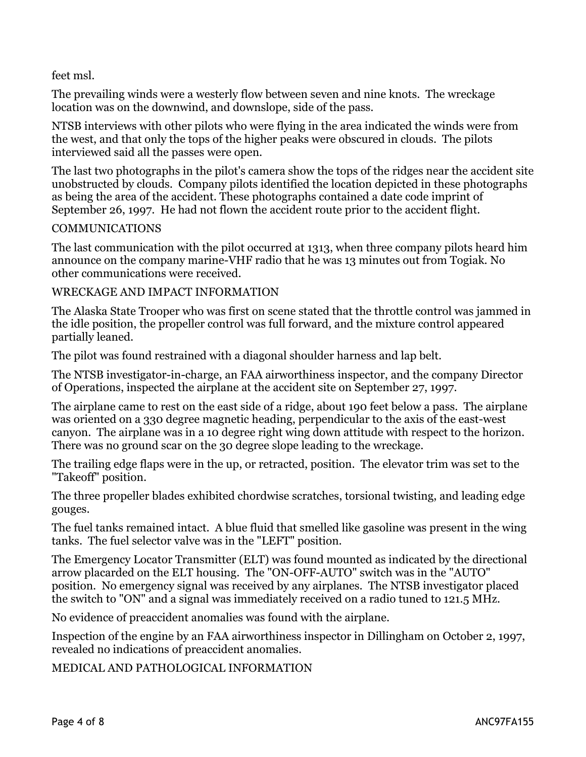feet msl.

The prevailing winds were a westerly flow between seven and nine knots. The wreckage location was on the downwind, and downslope, side of the pass.

NTSB interviews with other pilots who were flying in the area indicated the winds were from the west, and that only the tops of the higher peaks were obscured in clouds. The pilots interviewed said all the passes were open.

The last two photographs in the pilot's camera show the tops of the ridges near the accident site unobstructed by clouds. Company pilots identified the location depicted in these photographs as being the area of the accident. These photographs contained a date code imprint of September 26, 1997. He had not flown the accident route prior to the accident flight.

#### COMMUNICATIONS

The last communication with the pilot occurred at 1313, when three company pilots heard him announce on the company marine-VHF radio that he was 13 minutes out from Togiak. No other communications were received.

#### WRECKAGE AND IMPACT INFORMATION

The Alaska State Trooper who was first on scene stated that the throttle control was jammed in the idle position, the propeller control was full forward, and the mixture control appeared partially leaned.

The pilot was found restrained with a diagonal shoulder harness and lap belt.

The NTSB investigator-in-charge, an FAA airworthiness inspector, and the company Director of Operations, inspected the airplane at the accident site on September 27, 1997.

The airplane came to rest on the east side of a ridge, about 190 feet below a pass. The airplane was oriented on a 330 degree magnetic heading, perpendicular to the axis of the east-west canyon. The airplane was in a 10 degree right wing down attitude with respect to the horizon. There was no ground scar on the 30 degree slope leading to the wreckage.

The trailing edge flaps were in the up, or retracted, position. The elevator trim was set to the "Takeoff" position.

The three propeller blades exhibited chordwise scratches, torsional twisting, and leading edge gouges.

The fuel tanks remained intact. A blue fluid that smelled like gasoline was present in the wing tanks. The fuel selector valve was in the "LEFT" position.

The Emergency Locator Transmitter (ELT) was found mounted as indicated by the directional arrow placarded on the ELT housing. The "ON-OFF-AUTO" switch was in the "AUTO" position. No emergency signal was received by any airplanes. The NTSB investigator placed the switch to "ON" and a signal was immediately received on a radio tuned to 121.5 MHz.

No evidence of preaccident anomalies was found with the airplane.

Inspection of the engine by an FAA airworthiness inspector in Dillingham on October 2, 1997, revealed no indications of preaccident anomalies.

MEDICAL AND PATHOLOGICAL INFORMATION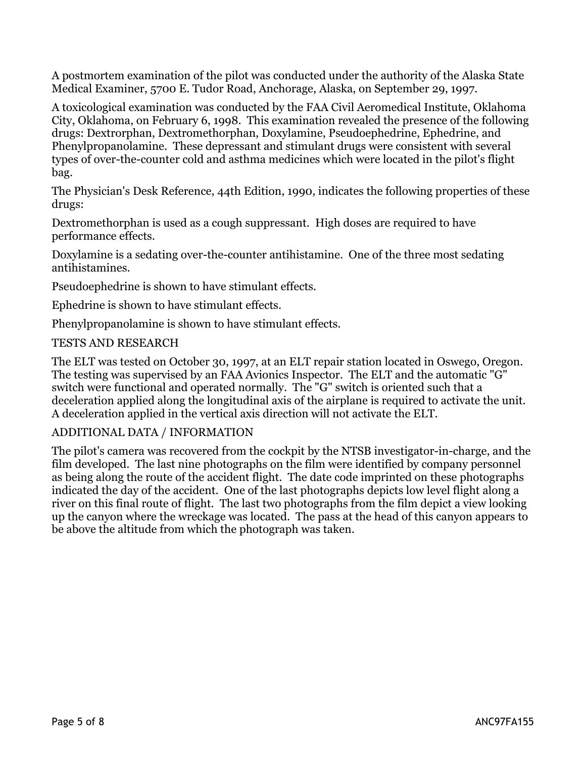A postmortem examination of the pilot was conducted under the authority of the Alaska State Medical Examiner, 5700 E. Tudor Road, Anchorage, Alaska, on September 29, 1997.

A toxicological examination was conducted by the FAA Civil Aeromedical Institute, Oklahoma City, Oklahoma, on February 6, 1998. This examination revealed the presence of the following drugs: Dextrorphan, Dextromethorphan, Doxylamine, Pseudoephedrine, Ephedrine, and Phenylpropanolamine. These depressant and stimulant drugs were consistent with several types of over-the-counter cold and asthma medicines which were located in the pilot's flight bag.

The Physician's Desk Reference, 44th Edition, 1990, indicates the following properties of these drugs:

Dextromethorphan is used as a cough suppressant. High doses are required to have performance effects.

Doxylamine is a sedating over-the-counter antihistamine. One of the three most sedating antihistamines.

Pseudoephedrine is shown to have stimulant effects.

Ephedrine is shown to have stimulant effects.

Phenylpropanolamine is shown to have stimulant effects.

#### TESTS AND RESEARCH

The ELT was tested on October 30, 1997, at an ELT repair station located in Oswego, Oregon. The testing was supervised by an FAA Avionics Inspector. The ELT and the automatic "G" switch were functional and operated normally. The "G" switch is oriented such that a deceleration applied along the longitudinal axis of the airplane is required to activate the unit. A deceleration applied in the vertical axis direction will not activate the ELT.

#### ADDITIONAL DATA / INFORMATION

The pilot's camera was recovered from the cockpit by the NTSB investigator-in-charge, and the film developed. The last nine photographs on the film were identified by company personnel as being along the route of the accident flight. The date code imprinted on these photographs indicated the day of the accident. One of the last photographs depicts low level flight along a river on this final route of flight. The last two photographs from the film depict a view looking up the canyon where the wreckage was located. The pass at the head of this canyon appears to be above the altitude from which the photograph was taken.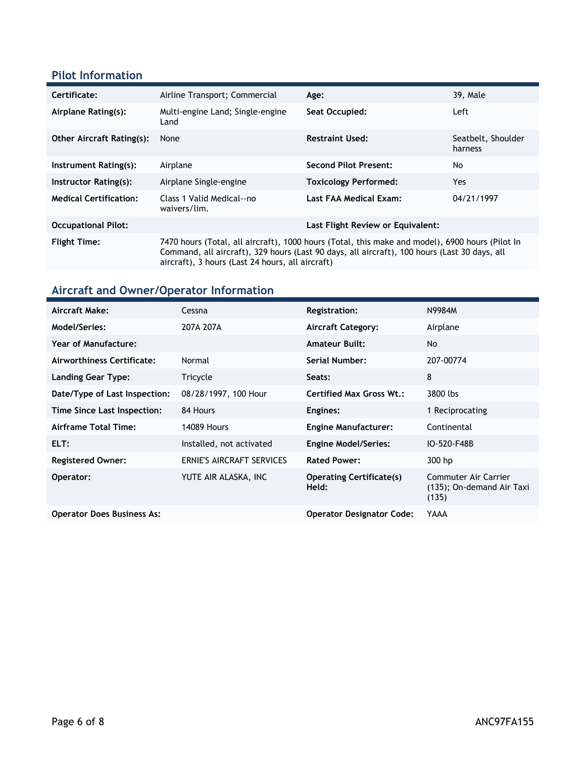### **Pilot Information**

| Certificate:                     | Airline Transport; Commercial                                                                                                                                                                                                                       | Age:                              | 39, Male                      |
|----------------------------------|-----------------------------------------------------------------------------------------------------------------------------------------------------------------------------------------------------------------------------------------------------|-----------------------------------|-------------------------------|
| Airplane Rating(s):              | Multi-engine Land; Single-engine<br>Land                                                                                                                                                                                                            | Seat Occupied:                    | Left                          |
| <b>Other Aircraft Rating(s):</b> | None                                                                                                                                                                                                                                                | <b>Restraint Used:</b>            | Seatbelt, Shoulder<br>harness |
| Instrument Rating(s):            | Airplane                                                                                                                                                                                                                                            | <b>Second Pilot Present:</b>      | No                            |
| Instructor Rating(s):            | Airplane Single-engine                                                                                                                                                                                                                              | <b>Toxicology Performed:</b>      | Yes.                          |
| <b>Medical Certification:</b>    | Class 1 Valid Medical--no<br>waivers/lim.                                                                                                                                                                                                           | Last FAA Medical Exam:            | 04/21/1997                    |
| <b>Occupational Pilot:</b>       |                                                                                                                                                                                                                                                     | Last Flight Review or Equivalent: |                               |
| <b>Flight Time:</b>              | 7470 hours (Total, all aircraft), 1000 hours (Total, this make and model), 6900 hours (Pilot In<br>Command, all aircraft), 329 hours (Last 90 days, all aircraft), 100 hours (Last 30 days, all<br>aircraft), 3 hours (Last 24 hours, all aircraft) |                                   |                               |

## **Aircraft and Owner/Operator Information**

| Aircraft Make:                    | Cessna                    | <b>Registration:</b>                     | N9984M                                                     |
|-----------------------------------|---------------------------|------------------------------------------|------------------------------------------------------------|
| Model/Series:                     | 207A 207A                 | <b>Aircraft Category:</b>                | Airplane                                                   |
| <b>Year of Manufacture:</b>       |                           | <b>Amateur Built:</b>                    | No                                                         |
| Airworthiness Certificate:        | Normal                    | Serial Number:                           | 207-00774                                                  |
| Landing Gear Type:                | Tricycle                  | Seats:                                   | 8                                                          |
| Date/Type of Last Inspection:     | 08/28/1997, 100 Hour      | Certified Max Gross Wt.:                 | 3800 lbs                                                   |
| Time Since Last Inspection:       | 84 Hours                  | Engines:                                 | 1 Reciprocating                                            |
| Airframe Total Time:              | <b>14089 Hours</b>        | <b>Engine Manufacturer:</b>              | Continental                                                |
| ELT:                              | Installed, not activated  | <b>Engine Model/Series:</b>              | IO-520-F48B                                                |
| <b>Registered Owner:</b>          | ERNIE'S AIRCRAFT SERVICES | <b>Rated Power:</b>                      | 300 hp                                                     |
| Operator:                         | YUTE AIR ALASKA, INC      | <b>Operating Certificate(s)</b><br>Held: | Commuter Air Carrier<br>(135); On-demand Air Taxi<br>(135) |
| <b>Operator Does Business As:</b> |                           | <b>Operator Designator Code:</b>         | YAAA                                                       |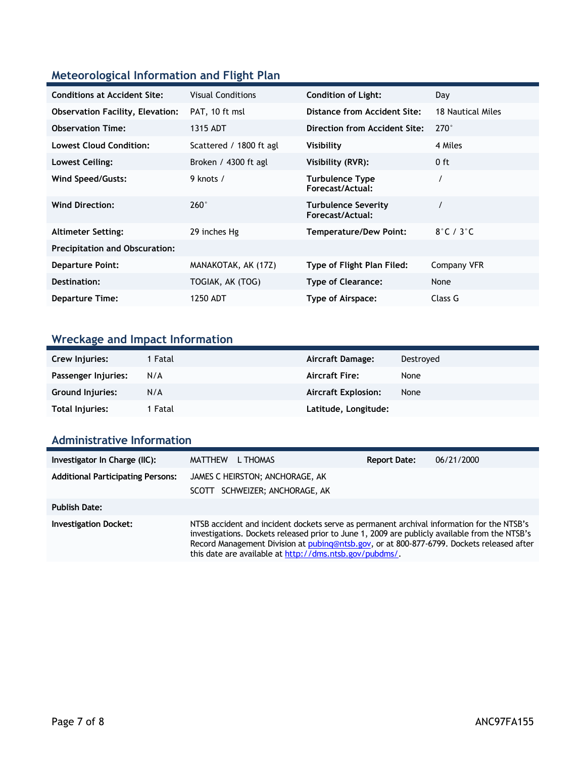### **Meteorological Information and Flight Plan**

| <b>Conditions at Accident Site:</b>     | <b>Visual Conditions</b> | <b>Condition of Light:</b>                     | Day                       |
|-----------------------------------------|--------------------------|------------------------------------------------|---------------------------|
| <b>Observation Facility, Elevation:</b> | PAT, 10 ft msl           | Distance from Accident Site:                   | 18 Nautical Miles         |
| <b>Observation Time:</b>                | 1315 ADT                 | Direction from Accident Site:                  | $270^\circ$               |
| <b>Lowest Cloud Condition:</b>          | Scattered / 1800 ft agl  | Visibility                                     | 4 Miles                   |
| Lowest Ceiling:                         | Broken / 4300 ft agl     | Visibility (RVR):                              | $0$ ft                    |
| <b>Wind Speed/Gusts:</b>                | 9 knots /                | <b>Turbulence Type</b><br>Forecast/Actual:     |                           |
| <b>Wind Direction:</b>                  | $260^\circ$              | <b>Turbulence Severity</b><br>Forecast/Actual: |                           |
| <b>Altimeter Setting:</b>               | 29 inches Hg             | Temperature/Dew Point:                         | $8^\circ$ C / $3^\circ$ C |
| <b>Precipitation and Obscuration:</b>   |                          |                                                |                           |
| <b>Departure Point:</b>                 | MANAKOTAK, AK (17Z)      | Type of Flight Plan Filed:                     | Company VFR               |
| Destination:                            | TOGIAK, AK (TOG)         | <b>Type of Clearance:</b>                      | None                      |
| <b>Departure Time:</b>                  | 1250 ADT                 | Type of Airspace:                              | Class G                   |

# **Wreckage and Impact Information**

| Crew Injuries:      | 1 Fatal | Aircraft Damage:           | Destroved |
|---------------------|---------|----------------------------|-----------|
| Passenger Injuries: | N/A     | <b>Aircraft Fire:</b>      | None      |
| Ground Injuries:    | N/A     | <b>Aircraft Explosion:</b> | None      |
| Total Injuries:     | 1 Fatal | Latitude, Longitude:       |           |

### **Administrative Information**

| Investigator In Charge (IIC):            | <b>MATTHEW</b><br>L THOMAS                                                                                                                                                                                                                                                                                                                         | <b>Report Date:</b> | 06/21/2000 |
|------------------------------------------|----------------------------------------------------------------------------------------------------------------------------------------------------------------------------------------------------------------------------------------------------------------------------------------------------------------------------------------------------|---------------------|------------|
| <b>Additional Participating Persons:</b> | JAMES C HEIRSTON; ANCHORAGE, AK<br>SCOTT SCHWEIZER; ANCHORAGE, AK                                                                                                                                                                                                                                                                                  |                     |            |
| <b>Publish Date:</b>                     |                                                                                                                                                                                                                                                                                                                                                    |                     |            |
| <b>Investigation Docket:</b>             | NTSB accident and incident dockets serve as permanent archival information for the NTSB's<br>investigations. Dockets released prior to June 1, 2009 are publicly available from the NTSB's<br>Record Management Division at pubing@ntsb.gov, or at 800-877-6799. Dockets released after<br>this date are available at http://dms.ntsb.gov/pubdms/. |                     |            |